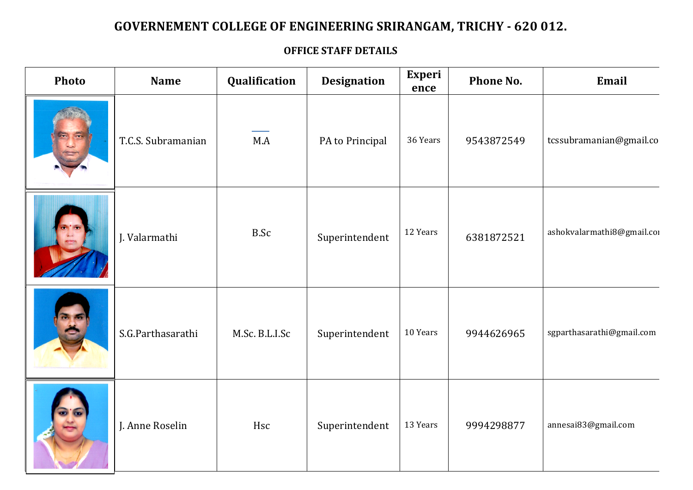## GOVERNEMENT COLLEGE OF ENGINEERING SRIRANGAM, TRICHY - 620 012.

## **OFFICE STAFF DETAILS**

| Photo | <b>Name</b>        | Qualification  | <b>Designation</b> | Experi<br>ence | Phone No.  | Email                      |
|-------|--------------------|----------------|--------------------|----------------|------------|----------------------------|
|       | T.C.S. Subramanian | M.A            | PA to Principal    | 36 Years       | 9543872549 | tcssubramanian@gmail.co    |
|       | J. Valarmathi      | <b>B.Sc</b>    | Superintendent     | 12 Years       | 6381872521 | ashokvalarmathi8@gmail.cor |
|       | S.G.Parthasarathi  | M.Sc. B.L.I.Sc | Superintendent     | 10 Years       | 9944626965 | sgparthasarathi@gmail.com  |
|       | J. Anne Roselin    | Hsc            | Superintendent     | 13 Years       | 9994298877 | annesai83@gmail.com        |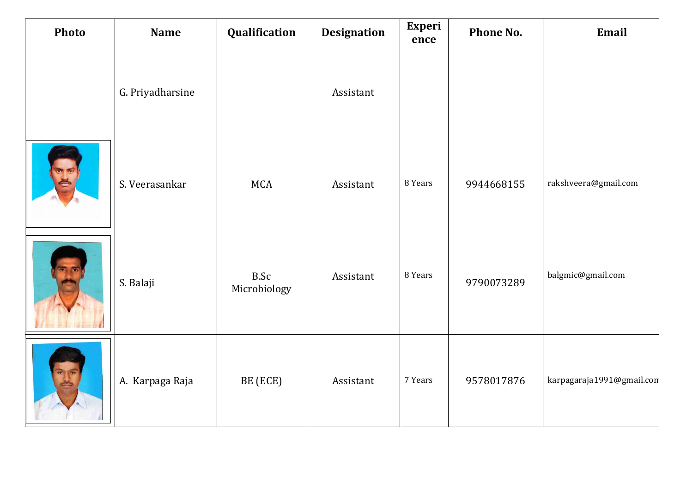| Photo | <b>Name</b>      | Qualification               | <b>Designation</b> | Experi<br>ence | Phone No.  | Email                     |
|-------|------------------|-----------------------------|--------------------|----------------|------------|---------------------------|
|       | G. Priyadharsine |                             | Assistant          |                |            |                           |
|       | S. Veerasankar   | <b>MCA</b>                  | Assistant          | 8 Years        | 9944668155 | rakshveera@gmail.com      |
|       | S. Balaji        | <b>B.Sc</b><br>Microbiology | Assistant          | 8 Years        | 9790073289 | balgmic@gmail.com         |
|       | A. Karpaga Raja  | BE (ECE)                    | Assistant          | 7 Years        | 9578017876 | karpagaraja1991@gmail.com |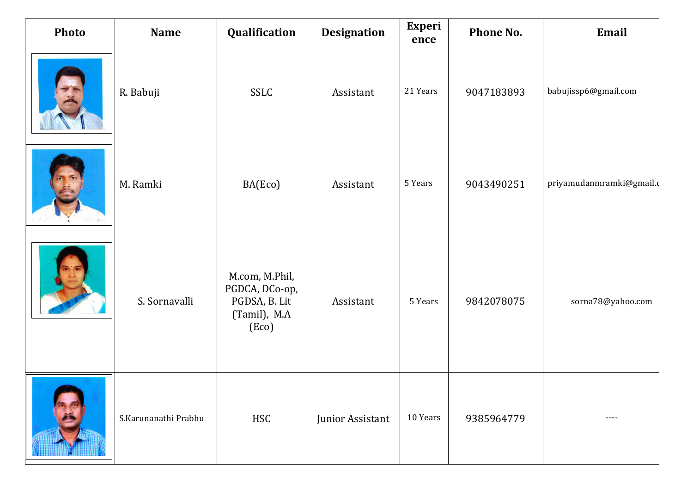| Photo | <b>Name</b>          | Qualification                                                              | <b>Designation</b> | <b>Experi</b><br>ence | Phone No.  | Email                    |
|-------|----------------------|----------------------------------------------------------------------------|--------------------|-----------------------|------------|--------------------------|
|       | R. Babuji            | <b>SSLC</b>                                                                | Assistant          | 21 Years              | 9047183893 | babujissp6@gmail.com     |
|       | M. Ramki             | BA(Eco)                                                                    | Assistant          | 5 Years               | 9043490251 | priyamudanmramki@gmail.c |
|       | S. Sornavalli        | M.com, M.Phil,<br>PGDCA, DCo-op,<br>PGDSA, B. Lit<br>(Tamil), M.A<br>(Eco) | Assistant          | 5 Years               | 9842078075 | sorna78@yahoo.com        |
|       | S.Karunanathi Prabhu | <b>HSC</b>                                                                 | Junior Assistant   | 10 Years              | 9385964779 | ----                     |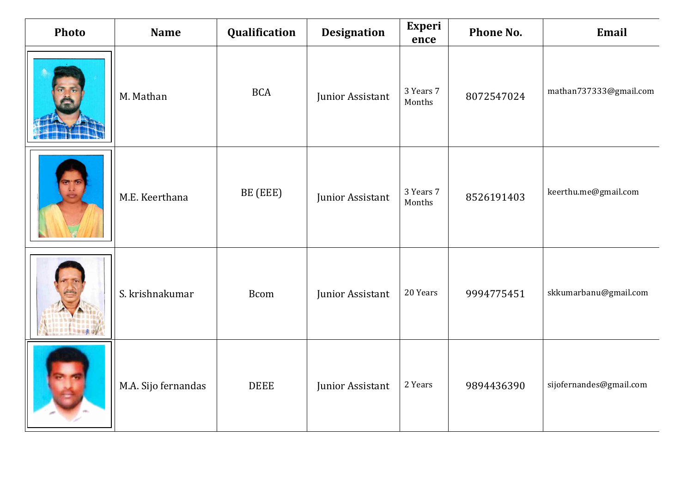| Photo | <b>Name</b>         | Qualification | <b>Designation</b> | <b>Experi</b><br>ence | Phone No.  | Email                   |
|-------|---------------------|---------------|--------------------|-----------------------|------------|-------------------------|
|       | M. Mathan           | <b>BCA</b>    | Junior Assistant   | 3 Years 7<br>Months   | 8072547024 | mathan737333@gmail.com  |
|       | M.E. Keerthana      | BE (EEE)      | Junior Assistant   | 3 Years 7<br>Months   | 8526191403 | keerthu.me@gmail.com    |
|       | S. krishnakumar     | <b>Bcom</b>   | Junior Assistant   | 20 Years              | 9994775451 | skkumarbanu@gmail.com   |
|       | M.A. Sijo fernandas | <b>DEEE</b>   | Junior Assistant   | 2 Years               | 9894436390 | sijofernandes@gmail.com |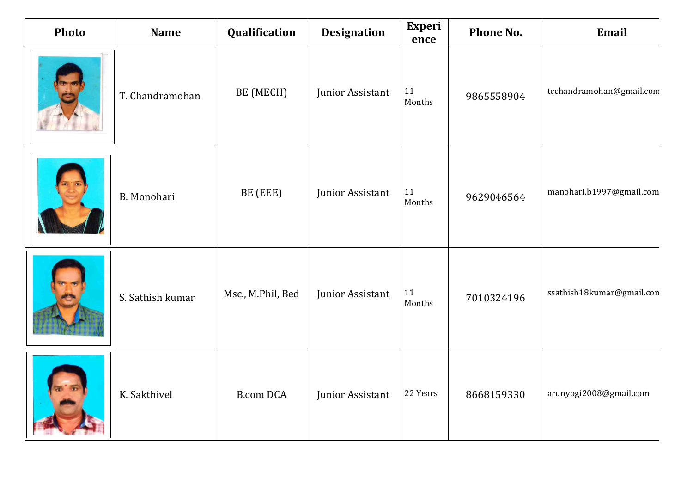| Photo | <b>Name</b>        | Qualification     | <b>Designation</b> | <b>Experi</b><br>ence | Phone No.  | Email                     |
|-------|--------------------|-------------------|--------------------|-----------------------|------------|---------------------------|
|       | T. Chandramohan    | BE (MECH)         | Junior Assistant   | 11<br>Months          | 9865558904 | tcchandramohan@gmail.com  |
|       | <b>B.</b> Monohari | BE (EEE)          | Junior Assistant   | 11<br>Months          | 9629046564 | manohari.b1997@gmail.com  |
|       | S. Sathish kumar   | Msc., M.Phil, Bed | Junior Assistant   | 11<br>Months          | 7010324196 | ssathish18kumar@gmail.con |
|       | K. Sakthivel       | <b>B.com DCA</b>  | Junior Assistant   | 22 Years              | 8668159330 | arunyogi2008@gmail.com    |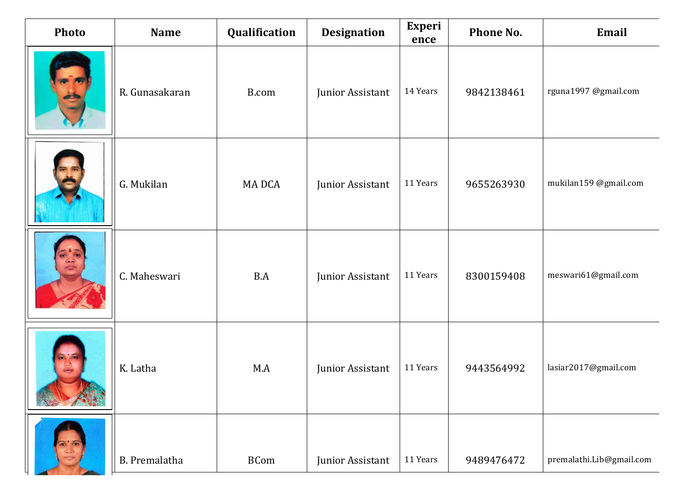| <b>Photo</b> | <b>Name</b>    | Qualification | <b>Designation</b> | <b>Experi</b><br>ence | Phone No.  | Email                    |
|--------------|----------------|---------------|--------------------|-----------------------|------------|--------------------------|
|              | R. Gunasakaran | B.com         | Junior Assistant   | 14 Years              | 9842138461 | rguna1997 @gmail.com     |
|              | G. Mukilan     | MA DCA        | Junior Assistant   | 11 Years              | 9655263930 | mukilan159 @gmail.com    |
|              | C. Maheswari   | B.A           | Junior Assistant   | 11 Years              | 8300159408 | meswari61@gmail.com      |
|              | K. Latha       | M.A           | Junior Assistant   | 11 Years              | 9443564992 | lasiar2017@gmail.com     |
|              | B. Premalatha  | <b>BCom</b>   | Junior Assistant   | 11 Years              | 9489476472 | premalathi.Lib@gmail.com |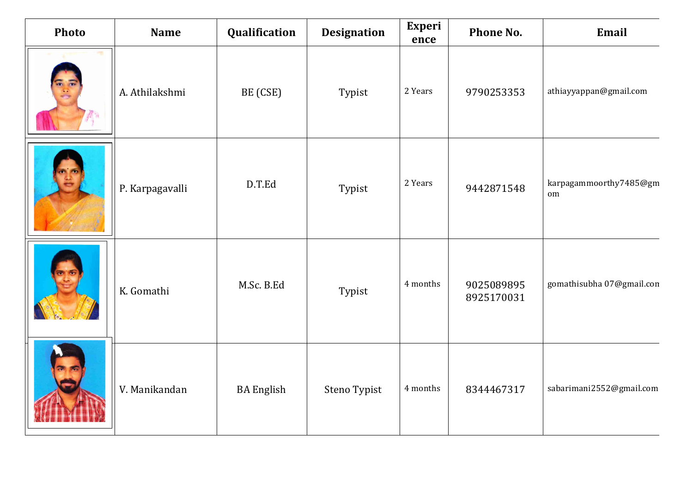| Photo | <b>Name</b>     | Qualification     | <b>Designation</b> | <b>Experi</b><br>ence | Phone No.                | Email                        |
|-------|-----------------|-------------------|--------------------|-----------------------|--------------------------|------------------------------|
|       | A. Athilakshmi  | BE (CSE)          | Typist             | 2 Years               | 9790253353               | athiayyappan@gmail.com       |
|       | P. Karpagavalli | D.T.Ed            | Typist             | 2 Years               | 9442871548               | karpagammoorthy7485@gm<br>om |
|       | K. Gomathi      | M.Sc. B.Ed        | Typist             | 4 months              | 9025089895<br>8925170031 | gomathisubha 07@gmail.com    |
|       | V. Manikandan   | <b>BA</b> English | Steno Typist       | 4 months              | 8344467317               | sabarimani2552@gmail.com     |